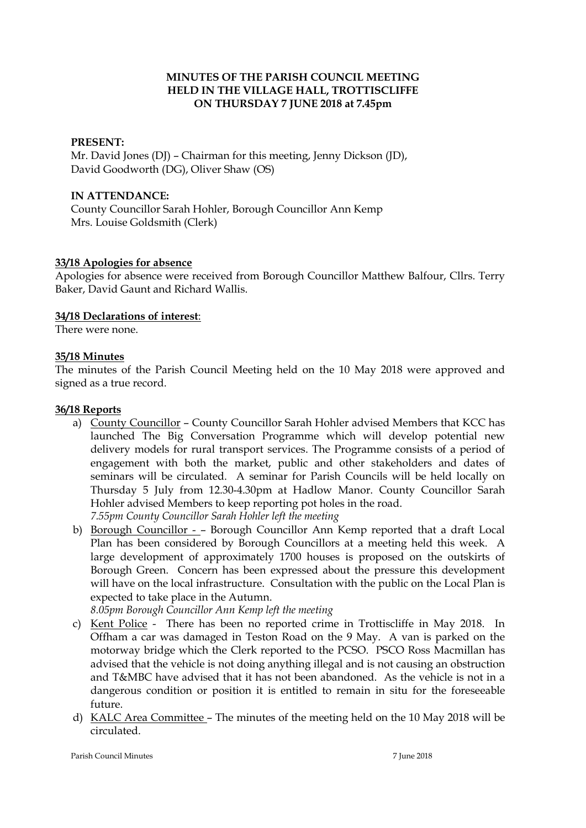## **MINUTES OF THE PARISH COUNCIL MEETING HELD IN THE VILLAGE HALL, TROTTISCLIFFE ON THURSDAY 7 JUNE 2018 at 7.45pm**

## **PRESENT:**

Mr. David Jones (DJ) – Chairman for this meeting, Jenny Dickson (JD), David Goodworth (DG), Oliver Shaw (OS)

### **IN ATTENDANCE:**

County Councillor Sarah Hohler, Borough Councillor Ann Kemp Mrs. Louise Goldsmith (Clerk)

#### **33/18 Apologies for absence**

Apologies for absence were received from Borough Councillor Matthew Balfour, Cllrs. Terry Baker, David Gaunt and Richard Wallis.

#### **34/18 Declarations of interest**:

There were none.

#### **35/18 Minutes**

The minutes of the Parish Council Meeting held on the 10 May 2018 were approved and signed as a true record.

#### **36/18 Reports**

- a) County Councillor County Councillor Sarah Hohler advised Members that KCC has launched The Big Conversation Programme which will develop potential new delivery models for rural transport services. The Programme consists of a period of engagement with both the market, public and other stakeholders and dates of seminars will be circulated. A seminar for Parish Councils will be held locally on Thursday 5 July from 12.30-4.30pm at Hadlow Manor. County Councillor Sarah Hohler advised Members to keep reporting pot holes in the road. *7.55pm County Councillor Sarah Hohler left the meeting*
- b) Borough Councillor – Borough Councillor Ann Kemp reported that a draft Local Plan has been considered by Borough Councillors at a meeting held this week. A large development of approximately 1700 houses is proposed on the outskirts of Borough Green. Concern has been expressed about the pressure this development will have on the local infrastructure. Consultation with the public on the Local Plan is expected to take place in the Autumn.

*8.05pm Borough Councillor Ann Kemp left the meeting* 

- c) Kent Police There has been no reported crime in Trottiscliffe in May 2018. In Offham a car was damaged in Teston Road on the 9 May. A van is parked on the motorway bridge which the Clerk reported to the PCSO. PSCO Ross Macmillan has advised that the vehicle is not doing anything illegal and is not causing an obstruction and T&MBC have advised that it has not been abandoned. As the vehicle is not in a dangerous condition or position it is entitled to remain in situ for the foreseeable future.
- d) KALC Area Committee The minutes of the meeting held on the 10 May 2018 will be circulated.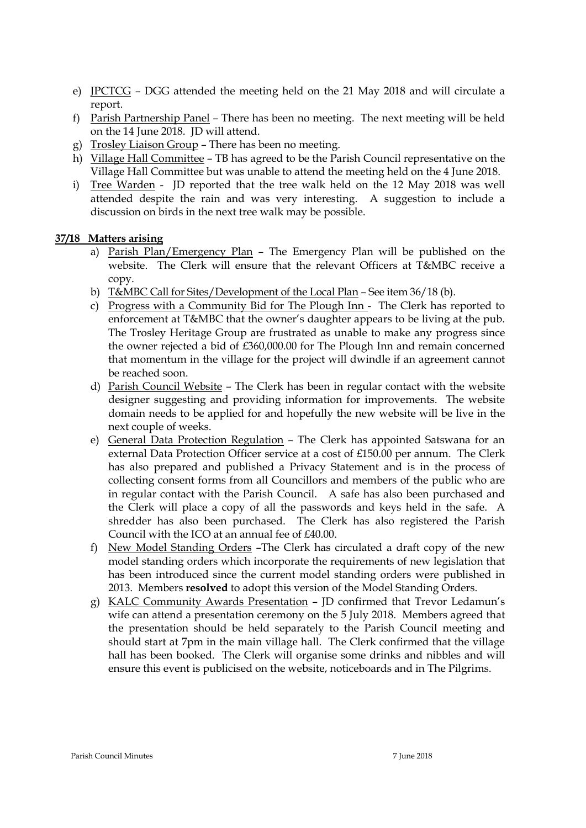- e) JPCTCG DGG attended the meeting held on the 21 May 2018 and will circulate a report.
- f) Parish Partnership Panel There has been no meeting. The next meeting will be held on the 14 June 2018. JD will attend.
- g) Trosley Liaison Group There has been no meeting.
- h) Village Hall Committee TB has agreed to be the Parish Council representative on the Village Hall Committee but was unable to attend the meeting held on the 4 June 2018.
- i) Tree Warden JD reported that the tree walk held on the 12 May 2018 was well attended despite the rain and was very interesting. A suggestion to include a discussion on birds in the next tree walk may be possible.

## **37/18 Matters arising**

- a) Parish Plan/Emergency Plan The Emergency Plan will be published on the website. The Clerk will ensure that the relevant Officers at T&MBC receive a copy.
- b) T&MBC Call for Sites/Development of the Local Plan See item 36/18 (b).
- c) Progress with a Community Bid for The Plough Inn The Clerk has reported to enforcement at T&MBC that the owner's daughter appears to be living at the pub. The Trosley Heritage Group are frustrated as unable to make any progress since the owner rejected a bid of £360,000.00 for The Plough Inn and remain concerned that momentum in the village for the project will dwindle if an agreement cannot be reached soon.
- d) Parish Council Website The Clerk has been in regular contact with the website designer suggesting and providing information for improvements. The website domain needs to be applied for and hopefully the new website will be live in the next couple of weeks.
- e) General Data Protection Regulation The Clerk has appointed Satswana for an external Data Protection Officer service at a cost of £150.00 per annum. The Clerk has also prepared and published a Privacy Statement and is in the process of collecting consent forms from all Councillors and members of the public who are in regular contact with the Parish Council. A safe has also been purchased and the Clerk will place a copy of all the passwords and keys held in the safe. A shredder has also been purchased. The Clerk has also registered the Parish Council with the ICO at an annual fee of £40.00.
- f) New Model Standing Orders –The Clerk has circulated a draft copy of the new model standing orders which incorporate the requirements of new legislation that has been introduced since the current model standing orders were published in 2013. Members **resolved** to adopt this version of the Model Standing Orders.
- g) KALC Community Awards Presentation JD confirmed that Trevor Ledamun's wife can attend a presentation ceremony on the 5 July 2018. Members agreed that the presentation should be held separately to the Parish Council meeting and should start at 7pm in the main village hall. The Clerk confirmed that the village hall has been booked. The Clerk will organise some drinks and nibbles and will ensure this event is publicised on the website, noticeboards and in The Pilgrims.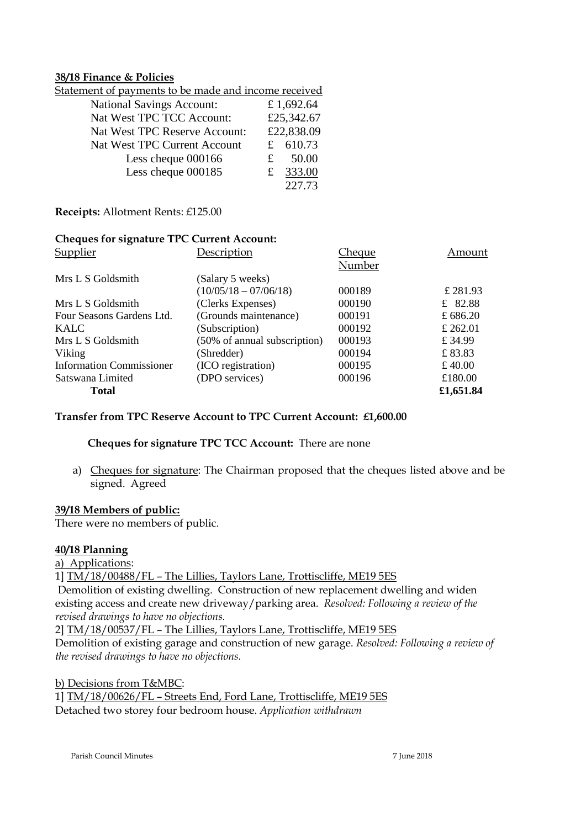### **38/18 Finance & Policies**

| Statemen <u>t of payments to be made and income received</u> |   |            |  |  |
|--------------------------------------------------------------|---|------------|--|--|
| <b>National Savings Account:</b>                             |   | £1,692.64  |  |  |
| Nat West TPC TCC Account:                                    |   | £25,342.67 |  |  |
| Nat West TPC Reserve Account:                                |   | £22,838.09 |  |  |
| Nat West TPC Current Account                                 |   | £ 610.73   |  |  |
| Less cheque 000166                                           | £ | 50.00      |  |  |
| Less cheque 000185                                           | £ | 333.00     |  |  |
|                                                              |   | 227.73     |  |  |

**Receipts:** Allotment Rents: £125.00

### **Cheques for signature TPC Current Account:**

| Supplier                        | Description                  | Cheque | Amount     |
|---------------------------------|------------------------------|--------|------------|
|                                 |                              | Number |            |
| Mrs L S Goldsmith               | (Salary 5 weeks)             |        |            |
|                                 | $(10/05/18 - 07/06/18)$      | 000189 | £ 281.93   |
| Mrs L S Goldsmith               | (Clerks Expenses)            | 000190 | £ 82.88    |
| Four Seasons Gardens Ltd.       | (Grounds maintenance)        | 000191 | £ $686.20$ |
| KALC                            | (Subscription)               | 000192 | £ 262.01   |
| Mrs L S Goldsmith               | (50% of annual subscription) | 000193 | £ $34.99$  |
| Viking                          | (Shredder)                   | 000194 | £83.83     |
| <b>Information Commissioner</b> | (ICO registration)           | 000195 | £ 40.00    |
| Satswana Limited                | (DPO services)               | 000196 | £180.00    |
| <b>Total</b>                    |                              |        | £1,651.84  |

#### **Transfer from TPC Reserve Account to TPC Current Account: £1,600.00**

### **Cheques for signature TPC TCC Account:** There are none

a) Cheques for signature: The Chairman proposed that the cheques listed above and be signed. Agreed

#### **39/18 Members of public:**

There were no members of public.

### **40/18 Planning**

a) Applications:

1] TM/18/00488/FL – The Lillies, Taylors Lane, Trottiscliffe, ME19 5ES

Demolition of existing dwelling. Construction of new replacement dwelling and widen existing access and create new driveway/parking area. *Resolved: Following a review of the revised drawings to have no objections.*

2] TM/18/00537/FL – The Lillies, Taylors Lane, Trottiscliffe, ME19 5ES

Demolition of existing garage and construction of new garage. *Resolved: Following a review of the revised drawings to have no objections.*

b) Decisions from T&MBC: 1] TM/18/00626/FL – Streets End, Ford Lane, Trottiscliffe, ME19 5ES Detached two storey four bedroom house. *Application withdrawn*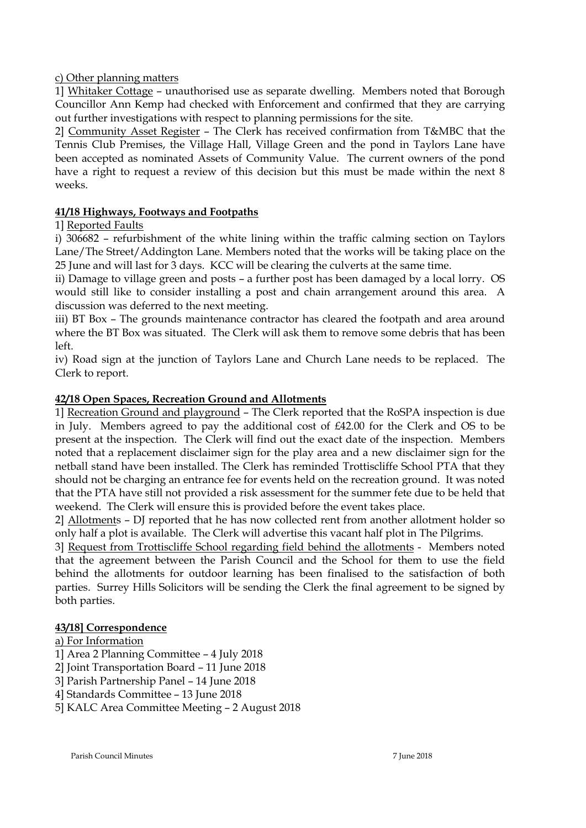c) Other planning matters

1] Whitaker Cottage – unauthorised use as separate dwelling. Members noted that Borough Councillor Ann Kemp had checked with Enforcement and confirmed that they are carrying out further investigations with respect to planning permissions for the site.

2] Community Asset Register – The Clerk has received confirmation from T&MBC that the Tennis Club Premises, the Village Hall, Village Green and the pond in Taylors Lane have been accepted as nominated Assets of Community Value. The current owners of the pond have a right to request a review of this decision but this must be made within the next 8 weeks.

# **41/18 Highways, Footways and Footpaths**

# 1] Reported Faults

i) 306682 – refurbishment of the white lining within the traffic calming section on Taylors Lane/The Street/Addington Lane. Members noted that the works will be taking place on the 25 June and will last for 3 days. KCC will be clearing the culverts at the same time.

ii) Damage to village green and posts – a further post has been damaged by a local lorry. OS would still like to consider installing a post and chain arrangement around this area. A discussion was deferred to the next meeting.

iii) BT Box – The grounds maintenance contractor has cleared the footpath and area around where the BT Box was situated. The Clerk will ask them to remove some debris that has been  $left.$ 

iv) Road sign at the junction of Taylors Lane and Church Lane needs to be replaced. The Clerk to report.

# **42/18 Open Spaces, Recreation Ground and Allotments**

1] Recreation Ground and playground – The Clerk reported that the RoSPA inspection is due in July. Members agreed to pay the additional cost of £42.00 for the Clerk and OS to be present at the inspection. The Clerk will find out the exact date of the inspection. Members noted that a replacement disclaimer sign for the play area and a new disclaimer sign for the netball stand have been installed. The Clerk has reminded Trottiscliffe School PTA that they should not be charging an entrance fee for events held on the recreation ground. It was noted that the PTA have still not provided a risk assessment for the summer fete due to be held that weekend. The Clerk will ensure this is provided before the event takes place.

2] Allotments – DJ reported that he has now collected rent from another allotment holder so only half a plot is available. The Clerk will advertise this vacant half plot in The Pilgrims.

3] Request from Trottiscliffe School regarding field behind the allotments - Members noted that the agreement between the Parish Council and the School for them to use the field behind the allotments for outdoor learning has been finalised to the satisfaction of both parties. Surrey Hills Solicitors will be sending the Clerk the final agreement to be signed by both parties.

# **43/18] Correspondence**

# a) For Information

- 1] Area 2 Planning Committee 4 July 2018
- 2] Joint Transportation Board 11 June 2018
- 3] Parish Partnership Panel 14 June 2018
- 4] Standards Committee 13 June 2018
- 5] KALC Area Committee Meeting 2 August 2018